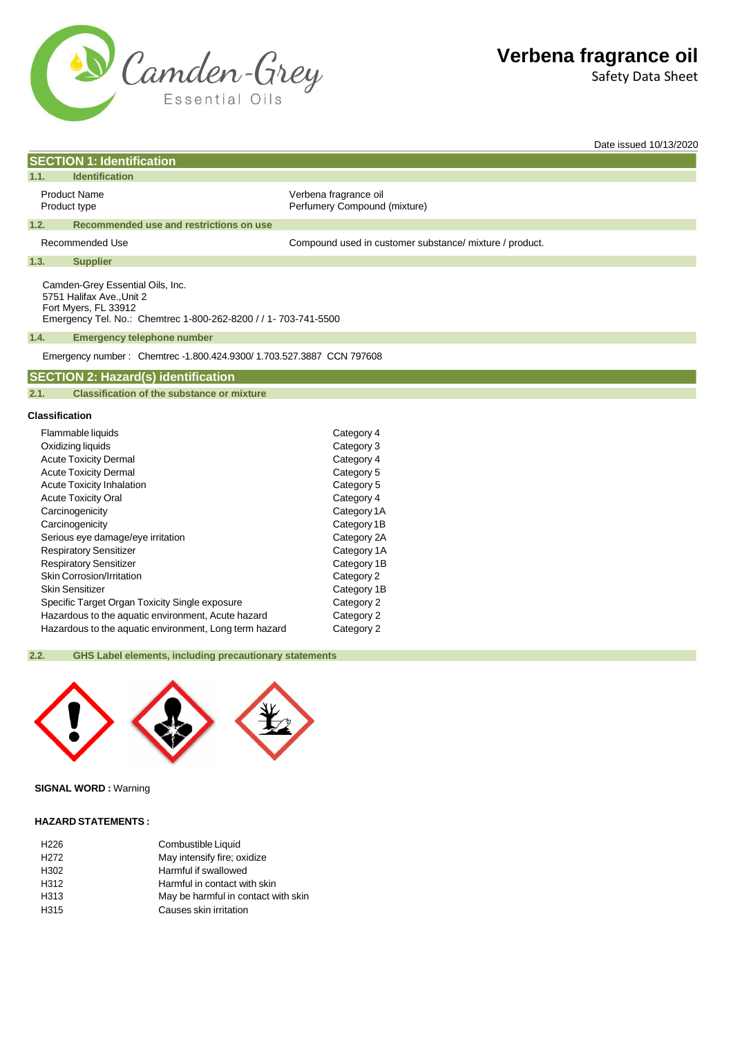

Safety Data Sheet

Date issued 10/13/2020

| <b>SECTION 1: Identification</b>                                                      |                                                                      |                                                         |
|---------------------------------------------------------------------------------------|----------------------------------------------------------------------|---------------------------------------------------------|
| <b>Identification</b><br>1.1.                                                         |                                                                      |                                                         |
| <b>Product Name</b><br>Product type                                                   |                                                                      | Verbena fragrance oil<br>Perfumery Compound (mixture)   |
| 1.2.                                                                                  | Recommended use and restrictions on use                              |                                                         |
| Recommended Use                                                                       |                                                                      | Compound used in customer substance/ mixture / product. |
| 1.3.<br><b>Supplier</b>                                                               |                                                                      |                                                         |
| Camden-Grey Essential Oils, Inc.<br>5751 Halifax Ave., Unit 2<br>Fort Myers, FL 33912 | Emergency Tel. No.: Chemtrec 1-800-262-8200 / / 1- 703-741-5500      |                                                         |
| 1.4.                                                                                  | <b>Emergency telephone number</b>                                    |                                                         |
|                                                                                       | Emergency number: Chemtrec -1.800.424.9300/1.703.527.3887 CCN 797608 |                                                         |
| <b>SECTION 2: Hazard(s) identification</b>                                            |                                                                      |                                                         |
| 2.1.                                                                                  | <b>Classification of the substance or mixture</b>                    |                                                         |
| Classification                                                                        |                                                                      |                                                         |
| Flammable liquids                                                                     |                                                                      | Category 4                                              |
| Oxidizing liquids                                                                     |                                                                      | Category 3                                              |
| <b>Acute Toxicity Dermal</b>                                                          |                                                                      | Category 4                                              |
| <b>Acute Toxicity Dermal</b>                                                          |                                                                      | Category 5                                              |
| <b>Acute Toxicity Inhalation</b>                                                      |                                                                      | Category 5                                              |
| <b>Acute Toxicity Oral</b>                                                            |                                                                      | Category 4                                              |
| Carcinogenicity                                                                       |                                                                      | Category 1A                                             |
| Carcinogenicity                                                                       |                                                                      | Category 1B                                             |
| Serious eye damage/eye irritation                                                     |                                                                      | Category 2A                                             |

| Serious eye damage/eye imitation                       | Calegory ZA |
|--------------------------------------------------------|-------------|
| <b>Respiratory Sensitizer</b>                          | Category 1A |
| <b>Respiratory Sensitizer</b>                          | Category 1B |
| Skin Corrosion/Irritation                              | Category 2  |
| <b>Skin Sensitizer</b>                                 | Category 1B |
| Specific Target Organ Toxicity Single exposure         | Category 2  |
| Hazardous to the aquatic environment, Acute hazard     | Category 2  |
| Hazardous to the aquatic environment, Long term hazard | Category 2  |
|                                                        |             |

# **2.2. GHS Label elements, including precautionary statements**



# **SIGNAL WORD :** Warning

## **HAZARD STATEMENTS :**

| Combustible Liquid                  |
|-------------------------------------|
| May intensify fire; oxidize         |
| Harmful if swallowed                |
| Harmful in contact with skin        |
| May be harmful in contact with skin |
| Causes skin irritation              |
|                                     |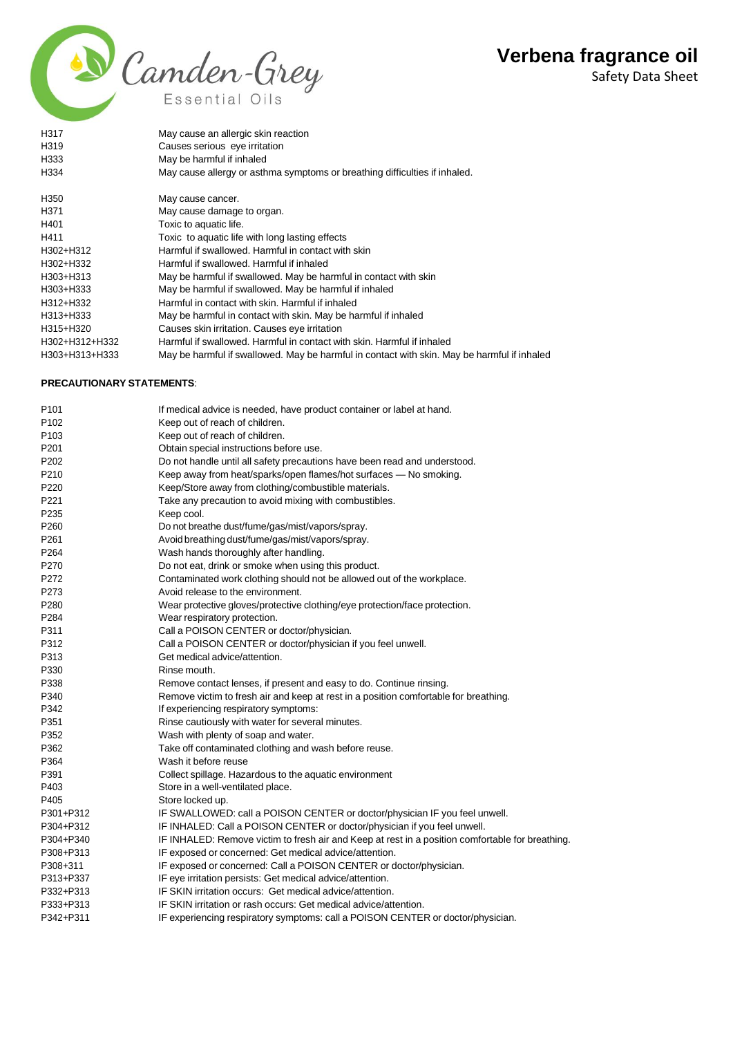Safety Data Sheet



P201 **Obtain special instructions before use.** 

P264 Wash hands thoroughly after handling.

P273 Avoid release to the environment.

P284 Wear respiratory protection.

P313 Get medical advice/attention.

P342 **If experiencing respiratory symptoms:** 

P352 Wash with plenty of soap and water.

P403 Store in a well-ventilated place.

P235 Keep cool.

P330 Rinse mouth.

P364 Wash it before reuse

P405 Store locked up.

P220 Keep/Store away from clothing/combustible materials. P221 Take any precaution to avoid mixing with combustibles.

P260 Do not breathe dust/fume/gas/mist/vapors/spray. P261 Avoidbreathing dust/fume/gas/mist/vapors/spray.

P270 Do not eat, drink or smoke when using this product.

P311 Call a POISON CENTER or doctor/physician.

P351 Rinse cautiously with water for several minutes.

P362 Take off contaminated clothing and wash before reuse.

P391 Collect spillage. Hazardous to the aquatic environment

P308+P313 IF exposed or concerned: Get medical advice/attention.

P313+P337 IF eye irritation persists: Get medical advice/attention. P332+P313 IF SKIN irritation occurs: Get medical advice/attention. P333+P313 IF SKIN irritation or rash occurs: Get medical advice/attention.

| H317                             | May cause an allergic skin reaction                                                         |
|----------------------------------|---------------------------------------------------------------------------------------------|
| H319                             | Causes serious eye irritation                                                               |
| H333                             | May be harmful if inhaled                                                                   |
| H334                             | May cause allergy or asthma symptoms or breathing difficulties if inhaled.                  |
| H <sub>350</sub>                 | May cause cancer.                                                                           |
| H <sub>371</sub>                 | May cause damage to organ.                                                                  |
| H401                             | Toxic to aquatic life.                                                                      |
| H411                             | Toxic to aquatic life with long lasting effects                                             |
| H302+H312                        | Harmful if swallowed. Harmful in contact with skin                                          |
| H302+H332                        | Harmful if swallowed. Harmful if inhaled                                                    |
| H303+H313                        | May be harmful if swallowed. May be harmful in contact with skin                            |
| H303+H333                        | May be harmful if swallowed. May be harmful if inhaled                                      |
| H312+H332                        | Harmful in contact with skin. Harmful if inhaled                                            |
| H313+H333                        | May be harmful in contact with skin. May be harmful if inhaled                              |
| H315+H320                        | Causes skin irritation. Causes eye irritation                                               |
| H302+H312+H332                   | Harmful if swallowed. Harmful in contact with skin. Harmful if inhaled                      |
| H303+H313+H333                   | May be harmful if swallowed. May be harmful in contact with skin. May be harmful if inhaled |
| <b>PRECAUTIONARY STATEMENTS:</b> |                                                                                             |
| P <sub>101</sub>                 | If medical advice is needed, have product container or label at hand.                       |
| P <sub>102</sub>                 | Keep out of reach of children.                                                              |
| P <sub>103</sub>                 | Keep out of reach of children.                                                              |

P202 Do not handle until all safety precautions have been read and understood. P210 Keep away from heat/sparks/open flames/hot surfaces — No smoking.

P272 Contaminated work clothing should not be allowed out of the workplace.

P280 Wear protective gloves/protective clothing/eye protection/face protection.

P312 Call a POISON CENTER or doctor/physician if you feel unwell.

P338 Remove contact lenses, if present and easy to do. Continue rinsing.

P340 Remove victim to fresh air and keep at rest in a position comfortable for breathing.

P301+P312 IF SWALLOWED: call a POISON CENTER or doctor/physician IF you feel unwell. P304+P312 IF INHALED: Call a POISON CENTER or doctor/physician if you feel unwell.

P342+P311 IF experiencing respiratory symptoms: call a POISON CENTER or doctor/physician.

P308+311 IF exposed or concerned: Call a POISON CENTER or doctor/physician.

P304+P340 IF INHALED: Remove victim to fresh air and Keep at rest in a position comfortable for breathing.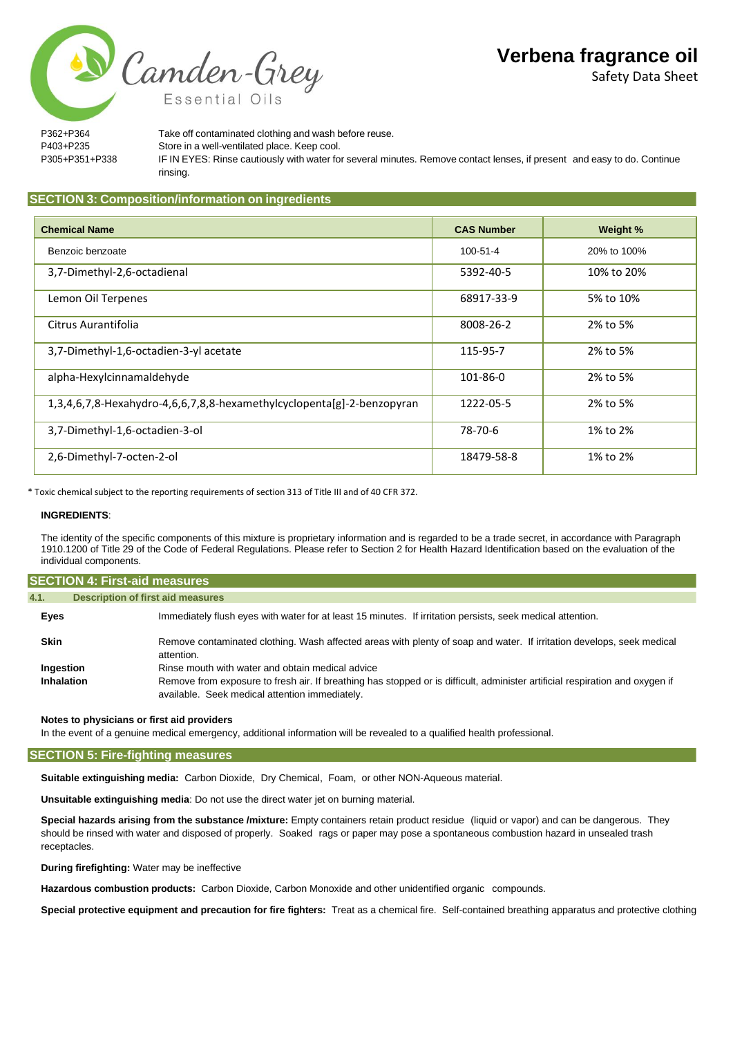Safety Data Sheet

P362+P364 Take off contaminated clothing and wash before reuse. P403+P235 Store in a well-ventilated place. Keep cool. P305+P351+P338 IF IN EYES: Rinse cautiously with water for several minutes. Remove contact lenses, if present and easy to do. Continue rinsing.

# **SECTION 3: Composition/information on ingredients**

Camden-Grey

Essential Oils

| <b>Chemical Name</b>                                                   | <b>CAS Number</b> | Weight %    |
|------------------------------------------------------------------------|-------------------|-------------|
| Benzoic benzoate                                                       | 100-51-4          | 20% to 100% |
| 3,7-Dimethyl-2,6-octadienal                                            | 5392-40-5         | 10% to 20%  |
| Lemon Oil Terpenes                                                     | 68917-33-9        | 5% to 10%   |
| Citrus Aurantifolia                                                    | 8008-26-2         | 2% to 5%    |
| 3,7-Dimethyl-1,6-octadien-3-yl acetate                                 | 115-95-7          | 2% to 5%    |
| alpha-Hexylcinnamaldehyde                                              | 101-86-0          | 2% to 5%    |
| 1,3,4,6,7,8-Hexahydro-4,6,6,7,8,8-hexamethylcyclopenta[g]-2-benzopyran | 1222-05-5         | 2% to 5%    |
| 3,7-Dimethyl-1,6-octadien-3-ol                                         | 78-70-6           | 1% to 2%    |
| 2,6-Dimethyl-7-octen-2-ol                                              | 18479-58-8        | 1% to 2%    |

\* Toxic chemical subject to the reporting requirements of section 313 of Title III and of 40 CFR 372.

#### **INGREDIENTS**:

The identity of the specific components of this mixture is proprietary information and is regarded to be a trade secret, in accordance with Paragraph 1910.1200 of Title 29 of the Code of Federal Regulations. Please refer to Section 2 for Health Hazard Identification based on the evaluation of the individual components.

| <b>SECTION 4: First-aid measures</b>                          |                                                                                                                                                                                |  |  |  |
|---------------------------------------------------------------|--------------------------------------------------------------------------------------------------------------------------------------------------------------------------------|--|--|--|
| 4.1.                                                          | <b>Description of first aid measures</b>                                                                                                                                       |  |  |  |
| Eyes                                                          | Immediately flush eyes with water for at least 15 minutes. If irritation persists, seek medical attention.                                                                     |  |  |  |
| <b>Skin</b>                                                   | Remove contaminated clothing. Wash affected areas with plenty of soap and water. If irritation develops, seek medical<br>attention.                                            |  |  |  |
| Rinse mouth with water and obtain medical advice<br>Ingestion |                                                                                                                                                                                |  |  |  |
| Inhalation                                                    | Remove from exposure to fresh air. If breathing has stopped or is difficult, administer artificial respiration and oxygen if<br>available. Seek medical attention immediately. |  |  |  |

# **Notes to physicians or first aid providers**

In the event of a genuine medical emergency, additional information will be revealed to a qualified health professional.

## **SECTION 5: Fire-fighting measures**

**Suitable extinguishing media:** Carbon Dioxide, Dry Chemical, Foam, or other NON-Aqueous material.

**Unsuitable extinguishing media**: Do not use the direct water jet on burning material.

**Special hazards arising from the substance /mixture:** Empty containers retain product residue (liquid or vapor) and can be dangerous. They should be rinsed with water and disposed of properly. Soaked rags or paper may pose a spontaneous combustion hazard in unsealed trash receptacles.

**During firefighting:** Water may be ineffective

**Hazardous combustion products:** Carbon Dioxide, Carbon Monoxide and other unidentified organic compounds.

**Special protective equipment and precaution for fire fighters:** Treat as a chemical fire. Self-contained breathing apparatus and protective clothing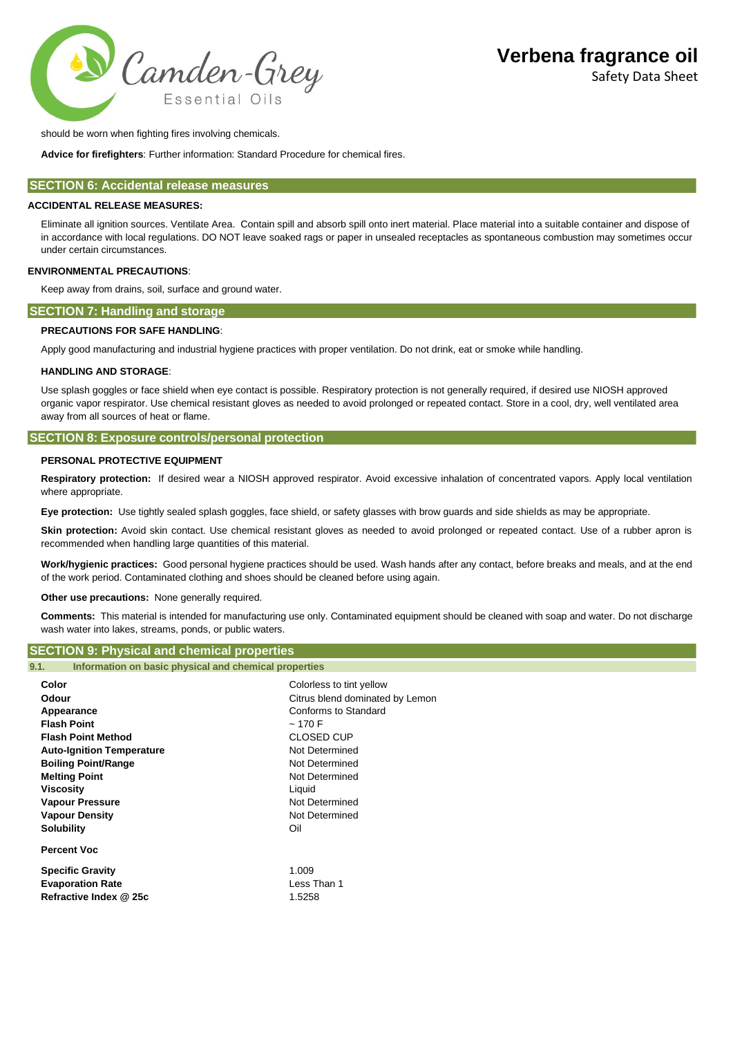

should be worn when fighting fires involving chemicals.

**Advice for firefighters**: Further information: Standard Procedure for chemical fires.

# **SECTION 6: Accidental release measures**

#### **ACCIDENTAL RELEASE MEASURES:**

Eliminate all ignition sources. Ventilate Area. Contain spill and absorb spill onto inert material. Place material into a suitable container and dispose of in accordance with local regulations. DO NOT leave soaked rags or paper in unsealed receptacles as spontaneous combustion may sometimes occur under certain circumstances.

## **ENVIRONMENTAL PRECAUTIONS**:

Keep away from drains, soil, surface and ground water.

#### **SECTION 7: Handling and storage**

#### **PRECAUTIONS FOR SAFE HANDLING**:

Apply good manufacturing and industrial hygiene practices with proper ventilation. Do not drink, eat or smoke while handling.

#### **HANDLING AND STORAGE**:

Use splash goggles or face shield when eye contact is possible. Respiratory protection is not generally required, if desired use NIOSH approved organic vapor respirator. Use chemical resistant gloves as needed to avoid prolonged or repeated contact. Store in a cool, dry, well ventilated area away from all sources of heat or flame.

#### **SECTION 8: Exposure controls/personal protection**

#### **PERSONAL PROTECTIVE EQUIPMENT**

**Respiratory protection:** If desired wear a NIOSH approved respirator. Avoid excessive inhalation of concentrated vapors. Apply local ventilation where appropriate.

**Eye protection:** Use tightly sealed splash goggles, face shield, or safety glasses with brow guards and side shields as may be appropriate.

Skin protection: Avoid skin contact. Use chemical resistant gloves as needed to avoid prolonged or repeated contact. Use of a rubber apron is recommended when handling large quantities of this material.

**Work/hygienic practices:** Good personal hygiene practices should be used. Wash hands after any contact, before breaks and meals, and at the end of the work period. Contaminated clothing and shoes should be cleaned before using again.

**Other use precautions:** None generally required.

**Comments:** This material is intended for manufacturing use only. Contaminated equipment should be cleaned with soap and water. Do not discharge wash water into lakes, streams, ponds, or public waters.

# **SECTION 9: Physical and chemical properties**

**9.1. Information on basic physical and chemical properties**

| Color                            | Colorless to tint yellow        |
|----------------------------------|---------------------------------|
| Odour                            | Citrus blend dominated by Lemon |
| Appearance                       | Conforms to Standard            |
| <b>Flash Point</b>               | ~170 F                          |
| <b>Flash Point Method</b>        | <b>CLOSED CUP</b>               |
| <b>Auto-Ignition Temperature</b> | Not Determined                  |
| <b>Boiling Point/Range</b>       | Not Determined                  |
| <b>Melting Point</b>             | Not Determined                  |
| Viscosity                        | Liquid                          |
| <b>Vapour Pressure</b>           | Not Determined                  |
| <b>Vapour Density</b>            | Not Determined                  |
| <b>Solubility</b>                | Oil                             |
| <b>Percent Voc</b>               |                                 |
| <b>Specific Gravity</b>          | 1.009                           |
| <b>Evaporation Rate</b>          | Less Than 1                     |
| Refractive Index @ 25c           | 1.5258                          |
|                                  |                                 |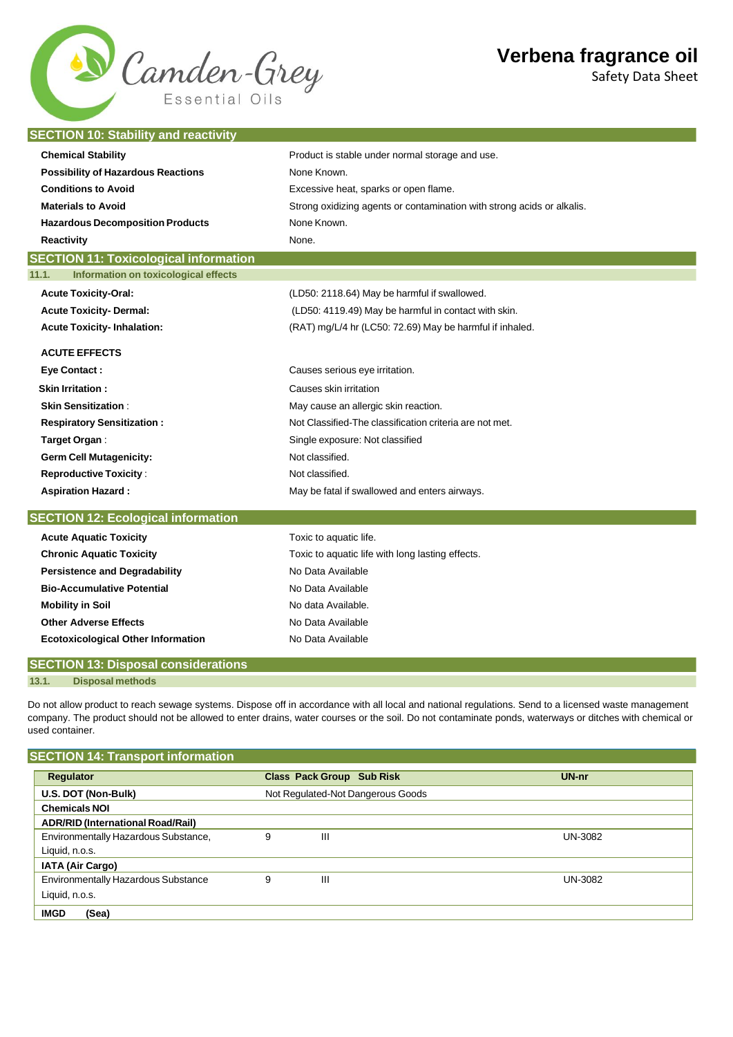# N Camden-Grey Essential Oils

# **Verbena fragrance oil**

Safety Data Sheet

# **SECTION 10: Stability and reactivity**

| <b>Chemical Stability</b>                     | Product is stable under normal storage and use.                        |  |  |
|-----------------------------------------------|------------------------------------------------------------------------|--|--|
| <b>Possibility of Hazardous Reactions</b>     | None Known.                                                            |  |  |
| <b>Conditions to Avoid</b>                    | Excessive heat, sparks or open flame.                                  |  |  |
| <b>Materials to Avoid</b>                     | Strong oxidizing agents or contamination with strong acids or alkalis. |  |  |
| <b>Hazardous Decomposition Products</b>       | None Known.                                                            |  |  |
| <b>Reactivity</b>                             | None.                                                                  |  |  |
| <b>SECTION 11: Toxicological information</b>  |                                                                        |  |  |
| Information on toxicological effects<br>11.1. |                                                                        |  |  |
| <b>Acute Toxicity-Oral:</b>                   | (LD50: 2118.64) May be harmful if swallowed.                           |  |  |
| <b>Acute Toxicity- Dermal:</b>                | (LD50: 4119.49) May be harmful in contact with skin.                   |  |  |
| <b>Acute Toxicity-Inhalation:</b>             | (RAT) mg/L/4 hr (LC50: 72.69) May be harmful if inhaled.               |  |  |
| <b>ACUTE EFFECTS</b>                          |                                                                        |  |  |
|                                               | Causes serious eye irritation.                                         |  |  |
| <b>Eye Contact:</b>                           |                                                                        |  |  |
| <b>Skin Irritation:</b>                       | Causes skin irritation                                                 |  |  |
| <b>Skin Sensitization:</b>                    | May cause an allergic skin reaction.                                   |  |  |
| <b>Respiratory Sensitization:</b>             | Not Classified-The classification criteria are not met.                |  |  |
| Target Organ:                                 | Single exposure: Not classified                                        |  |  |
| <b>Germ Cell Mutagenicity:</b>                | Not classified.                                                        |  |  |
| <b>Reproductive Toxicity:</b>                 | Not classified.                                                        |  |  |
| <b>Aspiration Hazard:</b>                     | May be fatal if swallowed and enters airways.                          |  |  |
| <b>SECTION 12: Ecological information</b>     |                                                                        |  |  |
| <b>Acute Aquatic Toxicity</b>                 | Toxic to aquatic life.                                                 |  |  |
| <b>Chronic Aquatic Toxicity</b>               | Toxic to aquatic life with long lasting effects.                       |  |  |
| <b>Persistence and Degradability</b>          | No Data Available                                                      |  |  |
| <b>Bio-Accumulative Potential</b>             | No Data Available                                                      |  |  |
| <b>Mobility in Soil</b>                       | No data Available.                                                     |  |  |
| <b>Other Adverse Effects</b>                  | No Data Available                                                      |  |  |
| <b>Ecotoxicological Other Information</b>     | No Data Available                                                      |  |  |

# **SECTION 13: Disposal considerations**

**13.1. Disposal methods**

Do not allow product to reach sewage systems. Dispose off in accordance with all local and national regulations. Send to a licensed waste management company. The product should not be allowed to enter drains, water courses or the soil. Do not contaminate ponds, waterways or ditches with chemical or used container.

# **SECTION 14: Transport information**

| Regulator                                  |                                   | <b>Class Pack Group Sub Risk</b> | UN-nr   |
|--------------------------------------------|-----------------------------------|----------------------------------|---------|
| U.S. DOT (Non-Bulk)                        | Not Regulated-Not Dangerous Goods |                                  |         |
| <b>Chemicals NOI</b>                       |                                   |                                  |         |
| <b>ADR/RID (International Road/Rail)</b>   |                                   |                                  |         |
| Environmentally Hazardous Substance,       | 9                                 | Ш                                | UN-3082 |
| Liquid, n.o.s.                             |                                   |                                  |         |
| <b>IATA (Air Cargo)</b>                    |                                   |                                  |         |
| <b>Environmentally Hazardous Substance</b> | 9                                 | Ш                                | UN-3082 |
| Liquid, n.o.s.                             |                                   |                                  |         |
| <b>IMGD</b><br>(Sea)                       |                                   |                                  |         |